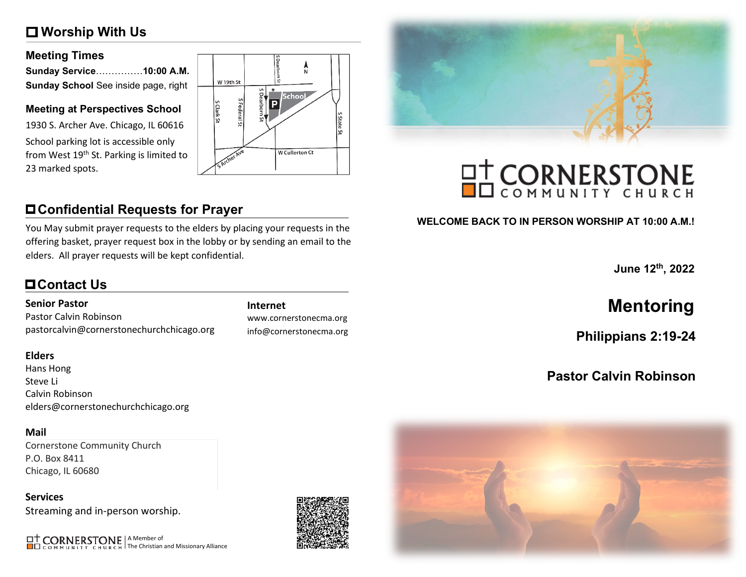# **Worship With Us**

### **Meeting Times**

| Sunday Service……………10:00 A.M.        |  |
|--------------------------------------|--|
| Sunday School See inside page, right |  |

### **Meeting at Perspectives School**

1930 S. Archer Ave. Chicago, IL 60616 School parking lot is accessible only from West 19<sup>th</sup> St. Parking is limited to 23 marked spots.



# **Confidential Requests for Prayer**

You May submit prayer requests to the elders by placing your requests in the offering basket, prayer request box in the lobby or by sending an email to the elders. All prayer requests will be kept confidential.

# **Contact Us**

### **Senior Pastor**

Pastor Calvin Robinson pastorcalvin@cornerstonechurchchicago.org

### **Elders**

Hans Hong Steve Li Calvin Robinson elders@cornerstonechurchchicago.org

### **Mail**

Cornerstone Community Church P.O. Box 8411 Chicago, IL 60680

**Services** Streaming and in-person worship.

A Member of The Christian and Missionary Alliance

www.cornerstonecma.org info@cornerstonecma.org



# **OT CORNERSTONE**

# **WELCOME BACK TO IN PERSON WORSHIP AT 10:00 A.M.!**

**June 12th, 2022**

# **Internet Mentoring**

**Philippians 2:19-24**

# **Pastor Calvin Robinson**